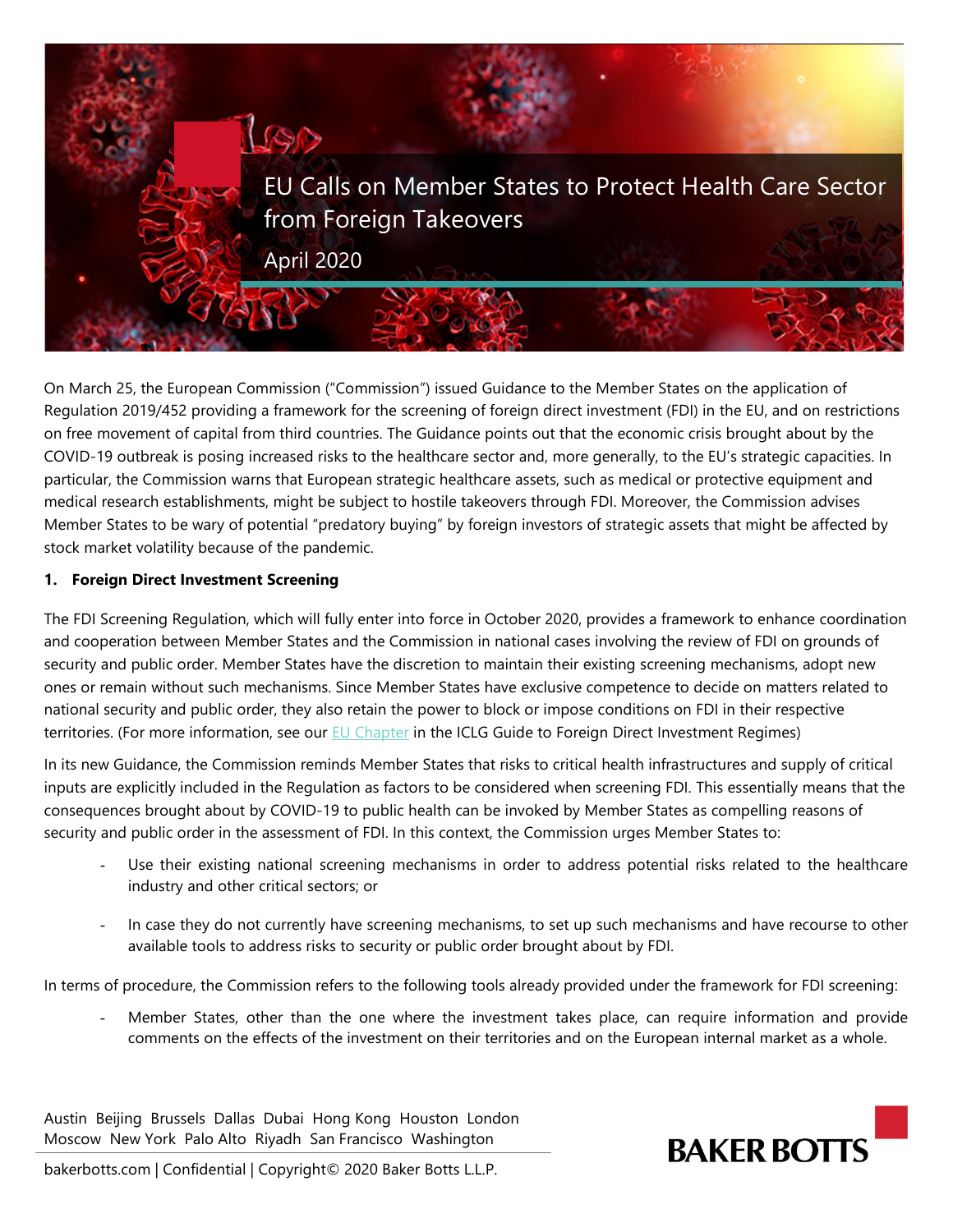

On March 25, the European Commission ("Commission") issued Guidance to the Member States on the application of Regulation 2019/452 providing a framework for the screening of foreign direct investment (FDI) in the EU, and on restrictions on free movement of capital from third countries. The Guidance points out that the economic crisis brought about by the COVID-19 outbreak is posing increased risks to the healthcare sector and, more generally, to the EU's strategic capacities. In particular, the Commission warns that European strategic healthcare assets, such as medical or protective equipment and medical research establishments, might be subject to hostile takeovers through FDI. Moreover, the Commission advises Member States to be wary of potential "predatory buying" by foreign investors of strategic assets that might be affected by stock market volatility because of the pandemic.

## **1. Foreign Direct Investment Screening**

The FDI Screening Regulation, which will fully enter into force in October 2020, provides a framework to enhance coordination and cooperation between Member States and the Commission in national cases involving the review of FDI on grounds of security and public order. Member States have the discretion to maintain their existing screening mechanisms, adopt new ones or remain without such mechanisms. Since Member States have exclusive competence to decide on matters related to national security and public order, they also retain the power to block or impose conditions on FDI in their respective territories. (For more information, see our [EU Chapter](https://iclg.com/practice-areas/foreign-direct-investment-regimes-laws-and-regulations/02-european-union) in the ICLG Guide to Foreign Direct Investment Regimes)

In its new Guidance, the Commission reminds Member States that risks to critical health infrastructures and supply of critical inputs are explicitly included in the Regulation as factors to be considered when screening FDI. This essentially means that the consequences brought about by COVID-19 to public health can be invoked by Member States as compelling reasons of security and public order in the assessment of FDI. In this context, the Commission urges Member States to:

- Use their existing national screening mechanisms in order to address potential risks related to the healthcare industry and other critical sectors; or
- In case they do not currently have screening mechanisms, to set up such mechanisms and have recourse to other available tools to address risks to security or public order brought about by FDI.

In terms of procedure, the Commission refers to the following tools already provided under the framework for FDI screening:

Member States, other than the one where the investment takes place, can require information and provide comments on the effects of the investment on their territories and on the European internal market as a whole.

Austin Beijing Brussels Dallas Dubai Hong Kong Houston London Moscow New York Palo Alto Riyadh San Francisco Washington



bakerbotts.com | Confidential | Copyright© 2020 Baker Botts L.L.P.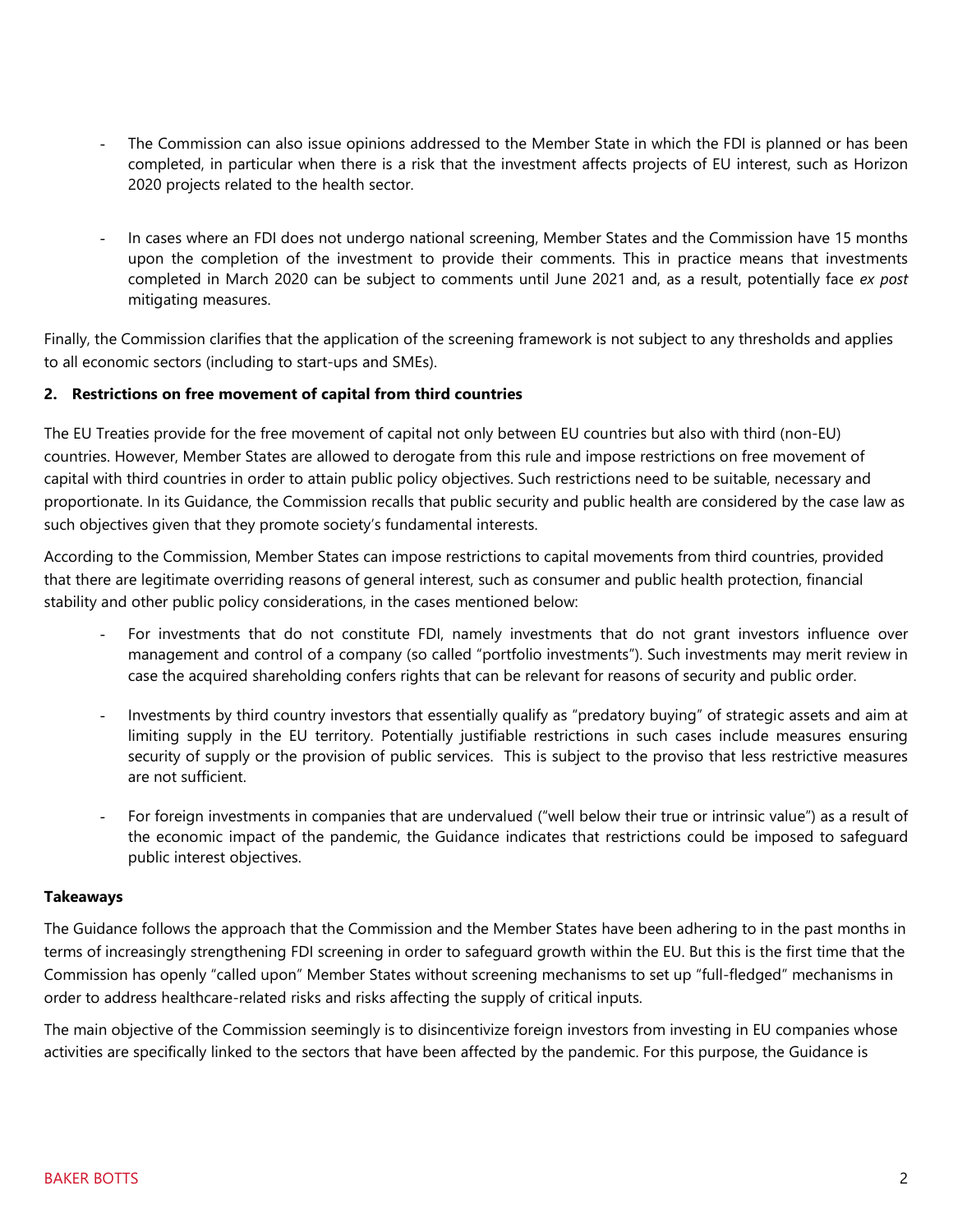- The Commission can also issue opinions addressed to the Member State in which the FDI is planned or has been completed, in particular when there is a risk that the investment affects projects of EU interest, such as Horizon 2020 projects related to the health sector.
- In cases where an FDI does not undergo national screening, Member States and the Commission have 15 months upon the completion of the investment to provide their comments. This in practice means that investments completed in March 2020 can be subject to comments until June 2021 and, as a result, potentially face *ex post* mitigating measures.

Finally, the Commission clarifies that the application of the screening framework is not subject to any thresholds and applies to all economic sectors (including to start-ups and SMEs).

## **2. Restrictions on free movement of capital from third countries**

The EU Treaties provide for the free movement of capital not only between EU countries but also with third (non-EU) countries. However, Member States are allowed to derogate from this rule and impose restrictions on free movement of capital with third countries in order to attain public policy objectives. Such restrictions need to be suitable, necessary and proportionate. In its Guidance, the Commission recalls that public security and public health are considered by the case law as such objectives given that they promote society's fundamental interests.

According to the Commission, Member States can impose restrictions to capital movements from third countries, provided that there are legitimate overriding reasons of general interest, such as consumer and public health protection, financial stability and other public policy considerations, in the cases mentioned below:

- For investments that do not constitute FDI, namely investments that do not grant investors influence over management and control of a company (so called "portfolio investments"). Such investments may merit review in case the acquired shareholding confers rights that can be relevant for reasons of security and public order.
- Investments by third country investors that essentially qualify as "predatory buying" of strategic assets and aim at limiting supply in the EU territory. Potentially justifiable restrictions in such cases include measures ensuring security of supply or the provision of public services. This is subject to the proviso that less restrictive measures are not sufficient.
- For foreign investments in companies that are undervalued ("well below their true or intrinsic value") as a result of the economic impact of the pandemic, the Guidance indicates that restrictions could be imposed to safeguard public interest objectives.

## **Takeaways**

The Guidance follows the approach that the Commission and the Member States have been adhering to in the past months in terms of increasingly strengthening FDI screening in order to safeguard growth within the EU. But this is the first time that the Commission has openly "called upon" Member States without screening mechanisms to set up "full-fledged" mechanisms in order to address healthcare-related risks and risks affecting the supply of critical inputs.

The main objective of the Commission seemingly is to disincentivize foreign investors from investing in EU companies whose activities are specifically linked to the sectors that have been affected by the pandemic. For this purpose, the Guidance is